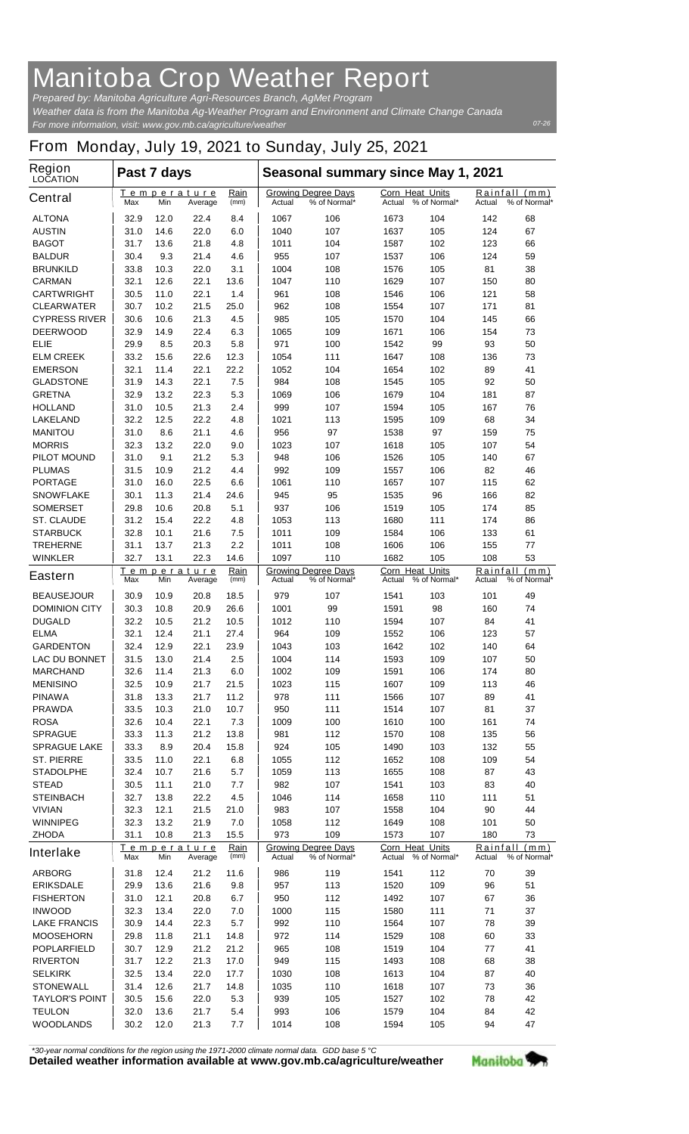## **Manitoba Crop Weather Report**

*For more information, visit: www.gov.mb.ca/agriculture/weather Prepared by: Manitoba Agriculture Agri-Resources Branch, AgMet Program Weather data is from the Manitoba Ag-Weather Program and Environment and Climate Change Canada*

## **From Monday, July 19, 2021 to Sunday, July 25, 2021**

| <b>Region</b><br><b>LOCATION</b>       | Past 7 days                                          |              |                                                      |                                                      | Seasonal summary since May 1, 2021 |                                            |                                            |                                            |            |                               |
|----------------------------------------|------------------------------------------------------|--------------|------------------------------------------------------|------------------------------------------------------|------------------------------------|--------------------------------------------|--------------------------------------------|--------------------------------------------|------------|-------------------------------|
| <b>Central</b>                         | Max                                                  | Min          | Temperature<br>Average                               | Rain<br>(mm)                                         | Actual                             | <b>Growing Degree Days</b><br>% of Normal* | <b>Corn Heat Units</b><br>Actual           | % of Normal*                               | Actual     | Rainfall (mm)<br>% of Normal* |
| <b>ALTONA</b>                          | 32.9                                                 | 12.0         | 22.4                                                 | 8.4                                                  | 1067                               | 106                                        | 1673                                       | 104                                        | 142        | 68                            |
| <b>AUSTIN</b>                          | 31.0                                                 | 14.6         | 22.0                                                 | 6.0                                                  | 1040                               | 107                                        | 1637                                       | 105                                        | 124        | 67                            |
| <b>BAGOT</b>                           | 31.7                                                 | 13.6         | 21.8                                                 | 4.8                                                  | 1011                               | 104                                        | 1587                                       | 102                                        | 123        | 66                            |
| <b>BALDUR</b>                          | 30.4                                                 | 9.3          | 21.4                                                 | 4.6                                                  | 955                                | 107                                        | 1537                                       | 106                                        | 124        | 59                            |
| <b>BRUNKILD</b>                        | 33.8                                                 | 10.3         | 22.0                                                 | 3.1                                                  | 1004                               | 108                                        | 1576                                       | 105                                        | 81         | 38                            |
| <b>CARMAN</b>                          | 32.1                                                 | 12.6         | 22.1                                                 | 13.6                                                 | 1047                               | 110                                        | 1629                                       | 107                                        | 150        | 80                            |
| <b>CARTWRIGHT</b><br><b>CLEARWATER</b> | 30.5<br>30.7                                         | 11.0<br>10.2 | 22.1<br>21.5                                         | 1.4<br>25.0                                          | 961<br>962                         | 108<br>108                                 | 1546<br>1554                               | 106<br>107                                 | 121<br>171 | 58<br>81                      |
| <b>CYPRESS RIVER</b>                   | 30.6                                                 | 10.6         | 21.3                                                 | 4.5                                                  | 985                                | 105                                        | 1570                                       | 104                                        | 145        | 66                            |
| <b>DEERWOOD</b>                        | 32.9                                                 | 14.9         | 22.4                                                 | 6.3                                                  | 1065                               | 109                                        | 1671                                       | 106                                        | 154        | 73                            |
| ELIE                                   | 29.9                                                 | 8.5          | 20.3                                                 | 5.8                                                  | 971                                | 100                                        | 1542                                       | 99                                         | 93         | 50                            |
| <b>ELM CREEK</b>                       | 33.2                                                 | 15.6         | 22.6                                                 | 12.3                                                 | 1054                               | 111                                        | 1647                                       | 108                                        | 136        | 73                            |
| <b>EMERSON</b>                         | 32.1                                                 | 11.4         | 22.1                                                 | 22.2                                                 | 1052                               | 104                                        | 1654                                       | 102                                        | 89         | 41                            |
| <b>GLADSTONE</b>                       | 31.9                                                 | 14.3         | 22.1                                                 | 7.5                                                  | 984                                | 108                                        | 1545                                       | 105                                        | 92         | 50                            |
| <b>GRETNA</b>                          | 32.9                                                 | 13.2         | 22.3                                                 | 5.3                                                  | 1069                               | 106                                        | 1679                                       | 104                                        | 181        | 87                            |
| <b>HOLLAND</b>                         | 31.0                                                 | 10.5         | 21.3                                                 | 2.4                                                  | 999                                | 107                                        | 1594                                       | 105                                        | 167        | 76                            |
| <b>LAKELAND</b>                        | 32.2                                                 | 12.5         | 22.2                                                 | 4.8                                                  | 1021                               | 113                                        | 1595                                       | 109                                        | 68         | 34                            |
| <b>MANITOU</b>                         | 31.0                                                 | 8.6          | 21.1                                                 | 4.6                                                  | 956                                | 97                                         | 1538                                       | 97                                         | 159        | 75                            |
| <b>MORRIS</b>                          | 32.3                                                 | 13.2         | 22.0                                                 | 9.0                                                  | 1023                               | 107                                        | 1618                                       | 105                                        | 107        | 54                            |
| <b>PILOT MOUND</b>                     | 31.0                                                 | 9.1          | 21.2                                                 | 5.3                                                  | 948                                | 106                                        | 1526                                       | 105                                        | 140        | 67                            |
| <b>PLUMAS</b>                          | 31.5                                                 | 10.9         | 21.2                                                 | 4.4                                                  | 992                                | 109                                        | 1557                                       | 106                                        | 82         | 46                            |
| <b>PORTAGE</b>                         | 31.0                                                 | 16.0         | 22.5                                                 | 6.6                                                  | 1061                               | 110                                        | 1657                                       | 107                                        | 115        | 62                            |
| <b>SNOWFLAKE</b>                       | 30.1                                                 | 11.3         | 21.4                                                 | 24.6                                                 | 945                                | 95                                         | 1535                                       | 96                                         | 166        | 82                            |
| <b>SOMERSET</b>                        | 29.8                                                 | 10.6         | 20.8                                                 | 5.1                                                  | 937                                | 106                                        | 1519                                       | 105                                        | 174        | 85                            |
| <b>ST. CLAUDE</b>                      | 31.2                                                 | 15.4         | 22.2                                                 | 4.8                                                  | 1053                               | 113                                        | 1680                                       | 111                                        | 174        | 86                            |
| <b>STARBUCK</b>                        | 32.8                                                 | 10.1         | 21.6                                                 | 7.5                                                  | 1011                               | 109                                        | 1584                                       | 106                                        | 133        | 61                            |
| <b>TREHERNE</b>                        | 31.1                                                 | 13.7         | 21.3                                                 | 2.2                                                  | 1011                               | 108                                        | 1606                                       | 106                                        | 155        | 77                            |
| <b>WINKLER</b>                         | 32.7                                                 | 13.1         | 22.3                                                 | 14.6                                                 | 1097                               | 110                                        | 1682                                       | 105                                        | 108        | 53                            |
| <b>Eastern</b>                         | Temperature<br>Rain<br>Min<br>Max<br>Average<br>(mm) |              |                                                      | <b>Growing Degree Days</b><br>% of Normal*<br>Actual |                                    | Corn Heat Units<br>% of Normal*<br>Actual  |                                            | Rainfall<br>(mm)<br>% of Normal*<br>Actual |            |                               |
| <b>BEAUSEJOUR</b>                      | 30.9                                                 | 10.9         | 20.8                                                 | 18.5                                                 | 979                                | 107                                        | 1541                                       | 103                                        | 101        | 49                            |
| <b>DOMINION CITY</b>                   | 30.3                                                 | 10.8         | 20.9                                                 | 26.6                                                 | 1001                               | 99                                         | 1591                                       | 98                                         | 160        | 74                            |
| <b>DUGALD</b>                          | 32.2                                                 | 10.5         | 21.2                                                 | 10.5                                                 | 1012                               | 110                                        | 1594                                       | 107                                        | 84         | 41                            |
| <b>ELMA</b>                            | 32.1                                                 | 12.4         | 21.1                                                 | 27.4                                                 | 964                                | 109                                        | 1552                                       | 106                                        | 123        | 57                            |
| <b>GARDENTON</b>                       | 32.4                                                 | 12.9         | 22.1                                                 | 23.9                                                 | 1043                               | 103                                        | 1642                                       | 102                                        | 140        | 64                            |
| <b>LAC DU BONNET</b>                   | 31.5                                                 | 13.0         | 21.4                                                 | 2.5                                                  | 1004                               | 114                                        | 1593                                       | 109                                        | 107        | 50                            |
| <b>MARCHAND</b>                        | 32.6                                                 | 11.4         | 21.3                                                 | 6.0                                                  | 1002                               | 109                                        | 1591                                       | 106                                        | 174        | 80                            |
| <b>MENISINO</b>                        | 32.5                                                 | 10.9         | 21.7                                                 | 21.5                                                 | 1023                               | 115                                        | 1607                                       | 109                                        | 113        | 46                            |
| <b>PINAWA</b>                          | 31.8                                                 | 13.3         | 21.7                                                 | 11.2                                                 | 978<br>950                         | 111                                        | 1566                                       | 107                                        | 89         | 41                            |
| <b>PRAWDA</b><br><b>ROSA</b>           | 33.5<br>32.6                                         | 10.3<br>10.4 | 21.0<br>22.1                                         | 10.7<br>7.3                                          | 1009                               | 111<br>100                                 | 1514<br>1610                               | 107<br>100                                 | 81<br>161  | 37<br>74                      |
| <b>SPRAGUE</b>                         | 33.3                                                 | 11.3         | 21.2                                                 | 13.8                                                 | 981                                | 112                                        | 1570                                       | 108                                        | 135        | 56                            |
| <b>SPRAGUE LAKE</b>                    | 33.3                                                 | 8.9          | 20.4                                                 | 15.8                                                 | 924                                | 105                                        | 1490                                       | 103                                        | 132        | 55                            |
| <b>ST. PIERRE</b>                      | 33.5                                                 | 11.0         | 22.1                                                 | 6.8                                                  | 1055                               | 112                                        | 1652                                       | 108                                        | 109        | 54                            |
| <b>STADOLPHE</b>                       | 32.4                                                 | 10.7         | 21.6                                                 | 5.7                                                  | 1059                               | 113                                        | 1655                                       | 108                                        | 87         | 43                            |
| <b>STEAD</b>                           | 30.5                                                 | 11.1         | 21.0                                                 | 7.7                                                  | 982                                | 107                                        | 1541                                       | 103                                        | 83         | 40                            |
| <b>STEINBACH</b>                       | 32.7                                                 | 13.8         | 22.2                                                 | 4.5                                                  | 1046                               | 114                                        | 1658                                       | 110                                        | 111        | 51                            |
| <b>VIVIAN</b>                          | 32.3                                                 | 12.1         | 21.5                                                 | 21.0                                                 | 983                                | 107                                        | 1558                                       | 104                                        | 90         | 44                            |
| <b>WINNIPEG</b>                        | 32.3                                                 | 13.2         | 21.9                                                 | 7.0                                                  | 1058                               | 112                                        | 1649                                       | 108                                        | 101        | 50                            |
| <b>ZHODA</b>                           | 31.1                                                 | 10.8         | 21.3                                                 | 15.5                                                 | 973                                | 109                                        | 1573                                       | 107                                        | 180        | 73                            |
| <b>Interlake</b>                       | Rain<br>Temperature<br>Max<br>Min<br>(mm)<br>Average |              | <b>Growing Degree Days</b><br>% of Normal*<br>Actual |                                                      | Corn Heat Units<br>Actual          | % of Normal*                               | Rainfall<br>(mm)<br>Actual<br>% of Normal* |                                            |            |                               |
| <b>ARBORG</b>                          | 31.8                                                 | 12.4         | 21.2                                                 | 11.6                                                 | 986                                | 119                                        | 1541                                       | 112                                        | 70         | 39                            |
| <b>ERIKSDALE</b>                       | 29.9                                                 | 13.6         | 21.6                                                 | 9.8                                                  | 957                                | 113                                        | 1520                                       | 109                                        | 96         | 51                            |
| <b>FISHERTON</b>                       | 31.0                                                 | 12.1         | 20.8                                                 | 6.7                                                  | 950                                | 112                                        | 1492                                       | 107                                        | 67         | 36                            |
| <b>INWOOD</b>                          | 32.3                                                 | 13.4         | 22.0                                                 | 7.0                                                  | 1000                               | 115                                        | 1580                                       | 111                                        | 71         | 37                            |
| <b>LAKE FRANCIS</b>                    | 30.9                                                 | 14.4         | 22.3                                                 | 5.7                                                  | 992                                | 110                                        | 1564                                       | 107                                        | 78         | 39                            |
| <b>MOOSEHORN</b>                       | 29.8                                                 | 11.8         | 21.1                                                 | 14.8                                                 | 972                                | 114                                        | 1529                                       | 108                                        | 60         | 33                            |
| <b>POPLARFIELD</b>                     | 30.7                                                 | 12.9         | 21.2                                                 | 21.2                                                 | 965                                | 108                                        | 1519                                       | 104                                        | 77         | 41                            |
| <b>RIVERTON</b>                        | 31.7                                                 | 12.2         | 21.3                                                 | 17.0                                                 | 949                                | 115                                        | 1493                                       | 108                                        | 68         | 38                            |
| <b>SELKIRK</b>                         | 32.5                                                 | 13.4         | 22.0                                                 | 17.7                                                 | 1030                               | 108                                        | 1613                                       | 104                                        | 87         | 40                            |
| <b>STONEWALL</b>                       | 31.4                                                 | 12.6         | 21.7                                                 | 14.8                                                 | 1035                               | 110                                        | 1618                                       | 107                                        | 73         | 36                            |
| <b>TAYLOR'S POINT</b>                  | 30.5                                                 | 15.6         | 22.0                                                 | 5.3                                                  | 939                                | 105                                        | 1527                                       | 102                                        | 78         | 42                            |
| <b>TEULON</b>                          | 32.0                                                 | 13.6         | 21.7                                                 | 5.4                                                  | 993                                | 106                                        | 1579                                       | 104                                        | 84         | 42                            |
| <b>WOODLANDS</b>                       | 30.2                                                 | 12.0         | 21.3                                                 | 7.7                                                  | 1014                               | 108                                        | 1594                                       | 105                                        | 94         | 47                            |

*\*30-year normal conditions for the region using the 1971-2000 climate normal data. GDD base 5 °C*<br>Detailed weather information available at www.gov.mb.ca/agriculture/weather